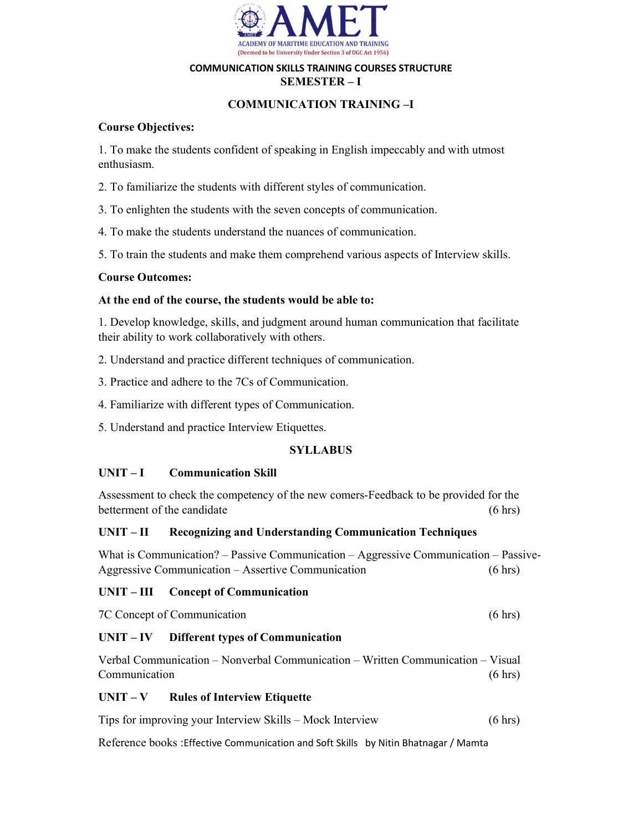

## COMMUNICATION SKILLS TRAINING COURSES STRUCTURE SEMESTER – I

# COMMUNICATION TRAINING –I

# Course Objectives:

1. To make the students confident of speaking in English impeccably and with utmost enthusiasm.

2. To familiarize the students with different styles of communication.

3. To enlighten the students with the seven concepts of communication.

4. To make the students understand the nuances of communication.

5. To train the students and make them comprehend various aspects of Interview skills.

## Course Outcomes:

## At the end of the course, the students would be able to:

1. Develop knowledge, skills, and judgment around human communication that facilitate their ability to work collaboratively with others.

2. Understand and practice different techniques of communication.

3. Practice and adhere to the 7Cs of Communication.

4. Familiarize with different types of Communication.

5. Understand and practice Interview Etiquettes.

# **SYLLABUS**

# UNIT – I Communication Skill

Assessment to check the competency of the new comers-Feedback to be provided for the betterment of the candidate (6 hrs)

## UNIT – II Recognizing and Understanding Communication Techniques

What is Communication? – Passive Communication – Aggressive Communication – Passive-Aggressive Communication – Assertive Communication (6 hrs)

# UNIT – III Concept of Communication

7C Concept of Communication (6 hrs)

# UNIT – IV Different types of Communication

Verbal Communication – Nonverbal Communication – Written Communication – Visual Communication (6 hrs)

# $UNIT - V$  Rules of Interview Etiquette

Tips for improving your Interview Skills – Mock Interview (6 hrs)

Reference books :Effective Communication and Soft Skills by Nitin Bhatnagar / Mamta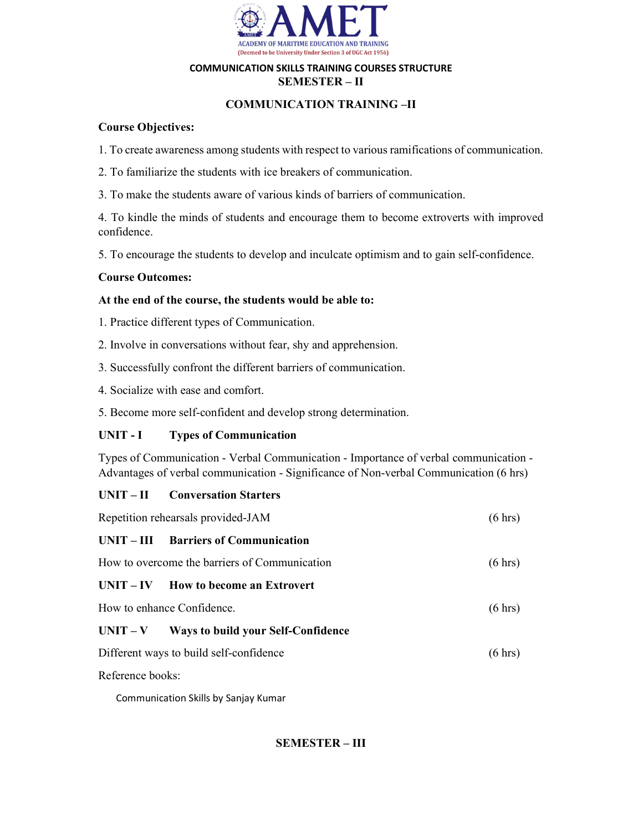

## COMMUNICATION SKILLS TRAINING COURSES STRUCTURE SEMESTER – II

# COMMUNICATION TRAINING –II

# Course Objectives:

- 1. To create awareness among students with respect to various ramifications of communication.
- 2. To familiarize the students with ice breakers of communication.
- 3. To make the students aware of various kinds of barriers of communication.

4. To kindle the minds of students and encourage them to become extroverts with improved confidence.

5. To encourage the students to develop and inculcate optimism and to gain self-confidence.

# Course Outcomes:

# At the end of the course, the students would be able to:

- 1. Practice different types of Communication.
- 2. Involve in conversations without fear, shy and apprehension.
- 3. Successfully confront the different barriers of communication.
- 4. Socialize with ease and comfort.
- 5. Become more self-confident and develop strong determination.

# UNIT - I Types of Communication

Types of Communication - Verbal Communication - Importance of verbal communication - Advantages of verbal communication - Significance of Non-verbal Communication (6 hrs)

# UNIT – II Conversation Starters

| Repetition rehearsals provided-JAM      |                                               | $(6 \text{ hrs})$ |
|-----------------------------------------|-----------------------------------------------|-------------------|
|                                         | UNIT – III Barriers of Communication          |                   |
|                                         | How to overcome the barriers of Communication | $(6 \text{ hrs})$ |
|                                         | $UNIT - IV$ How to become an Extrovert        |                   |
| How to enhance Confidence.              |                                               | $(6 \text{ hrs})$ |
| $UNIT - V$                              | Ways to build your Self-Confidence            |                   |
| Different ways to build self-confidence |                                               | $(6 \text{ hrs})$ |
| Reference books:                        |                                               |                   |

Communication Skills by Sanjay Kumar

# SEMESTER – III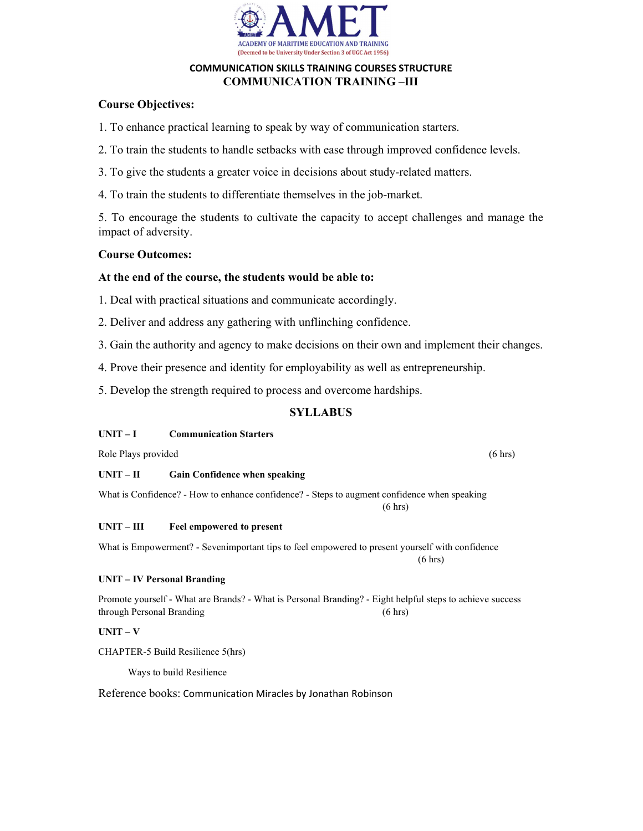

## COMMUNICATION SKILLS TRAINING COURSES STRUCTURE COMMUNICATION TRAINING –III

# Course Objectives:

1. To enhance practical learning to speak by way of communication starters.

- 2. To train the students to handle setbacks with ease through improved confidence levels.
- 3. To give the students a greater voice in decisions about study-related matters.
- 4. To train the students to differentiate themselves in the job-market.

5. To encourage the students to cultivate the capacity to accept challenges and manage the impact of adversity.

## Course Outcomes:

## At the end of the course, the students would be able to:

1. Deal with practical situations and communicate accordingly.

- 2. Deliver and address any gathering with unflinching confidence.
- 3. Gain the authority and agency to make decisions on their own and implement their changes.
- 4. Prove their presence and identity for employability as well as entrepreneurship.
- 5. Develop the strength required to process and overcome hardships.

# **SYLLABUS**

## UNIT – I Communication Starters

Role Plays provided (6 hrs) (6 hrs)

## UNIT – II Gain Confidence when speaking

What is Confidence? - How to enhance confidence? - Steps to augment confidence when speaking  $(6 \text{ hrs})$ 

## UNIT – III Feel empowered to present

What is Empowerment? - Sevenimportant tips to feel empowered to present yourself with confidence  $(6 \text{ hrs})$ 

## UNIT – IV Personal Branding

Promote yourself - What are Brands? - What is Personal Branding? - Eight helpful steps to achieve success through Personal Branding (6 hrs)

## $UNIT - V$

CHAPTER-5 Build Resilience 5(hrs)

Ways to build Resilience

## Reference books: Communication Miracles by Jonathan Robinson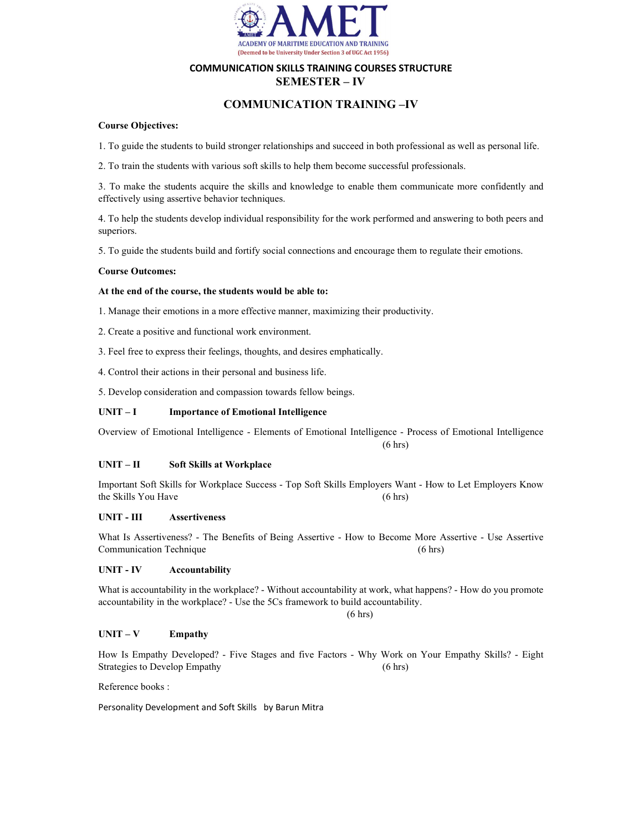

## COMMUNICATION SKILLS TRAINING COURSES STRUCTURE SEMESTER – IV

## COMMUNICATION TRAINING –IV

#### Course Objectives:

1. To guide the students to build stronger relationships and succeed in both professional as well as personal life.

2. To train the students with various soft skills to help them become successful professionals.

3. To make the students acquire the skills and knowledge to enable them communicate more confidently and effectively using assertive behavior techniques.

4. To help the students develop individual responsibility for the work performed and answering to both peers and superiors.

5. To guide the students build and fortify social connections and encourage them to regulate their emotions.

#### Course Outcomes:

#### At the end of the course, the students would be able to:

1. Manage their emotions in a more effective manner, maximizing their productivity.

2. Create a positive and functional work environment.

3. Feel free to express their feelings, thoughts, and desires emphatically.

 $(6 \text{ hrs})$ 

4. Control their actions in their personal and business life.

5. Develop consideration and compassion towards fellow beings.

#### UNIT – I Importance of Emotional Intelligence

Overview of Emotional Intelligence - Elements of Emotional Intelligence - Process of Emotional Intelligence

#### UNIT – II Soft Skills at Workplace

Important Soft Skills for Workplace Success - Top Soft Skills Employers Want - How to Let Employers Know the Skills You Have (6 hrs)

### UNIT - III Assertiveness

What Is Assertiveness? - The Benefits of Being Assertive - How to Become More Assertive - Use Assertive Communication Technique (6 hrs)

#### UNIT - IV Accountability

What is accountability in the workplace? - Without accountability at work, what happens? - How do you promote accountability in the workplace? - Use the 5Cs framework to build accountability.

#### $(6 \text{ hrs})$

#### $UNIT - V$  Empathy

How Is Empathy Developed? - Five Stages and five Factors - Why Work on Your Empathy Skills? - Eight Strategies to Develop Empathy (6 hrs)

Reference books :

Personality Development and Soft Skills by Barun Mitra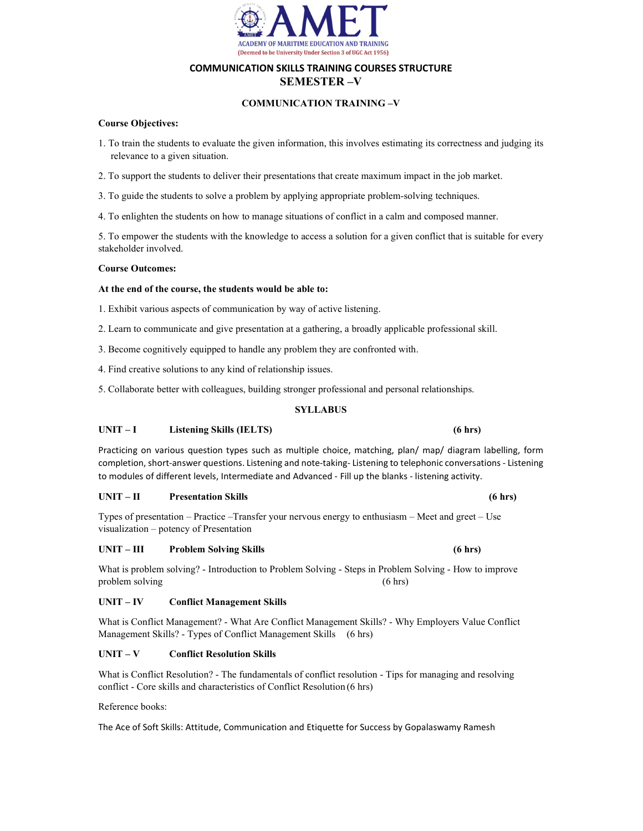

## COMMUNICATION SKILLS TRAINING COURSES STRUCTURE SEMESTER –V

### COMMUNICATION TRAINING –V

#### Course Objectives:

- 1. To train the students to evaluate the given information, this involves estimating its correctness and judging its relevance to a given situation.
- 2. To support the students to deliver their presentations that create maximum impact in the job market.

3. To guide the students to solve a problem by applying appropriate problem-solving techniques.

4. To enlighten the students on how to manage situations of conflict in a calm and composed manner.

5. To empower the students with the knowledge to access a solution for a given conflict that is suitable for every stakeholder involved.

#### Course Outcomes:

#### At the end of the course, the students would be able to:

- 1. Exhibit various aspects of communication by way of active listening.
- 2. Learn to communicate and give presentation at a gathering, a broadly applicable professional skill.
- 3. Become cognitively equipped to handle any problem they are confronted with.
- 4. Find creative solutions to any kind of relationship issues.
- 5. Collaborate better with colleagues, building stronger professional and personal relationships.

#### SYLLABUS

#### UNIT – I Listening Skills (IELTS) (6 hrs)

Practicing on various question types such as multiple choice, matching, plan/ map/ diagram labelling, form completion, short-answer questions. Listening and note-taking- Listening to telephonic conversations - Listening to modules of different levels, Intermediate and Advanced - Fill up the blanks - listening activity.

#### UNIT – II Presentation Skills (6 hrs)

Types of presentation – Practice –Transfer your nervous energy to enthusiasm – Meet and greet – Use visualization – potency of Presentation

#### UNIT – III Problem Solving Skills (6 hrs)

What is problem solving? - Introduction to Problem Solving - Steps in Problem Solving - How to improve problem solving (6 hrs)

#### UNIT – IV Conflict Management Skills

What is Conflict Management? - What Are Conflict Management Skills? - Why Employers Value Conflict Management Skills? - Types of Conflict Management Skills (6 hrs)

#### UNIT – V Conflict Resolution Skills

What is Conflict Resolution? - The fundamentals of conflict resolution - Tips for managing and resolving conflict - Core skills and characteristics of Conflict Resolution (6 hrs)

Reference books:

The Ace of Soft Skills: Attitude, Communication and Etiquette for Success by Gopalaswamy Ramesh